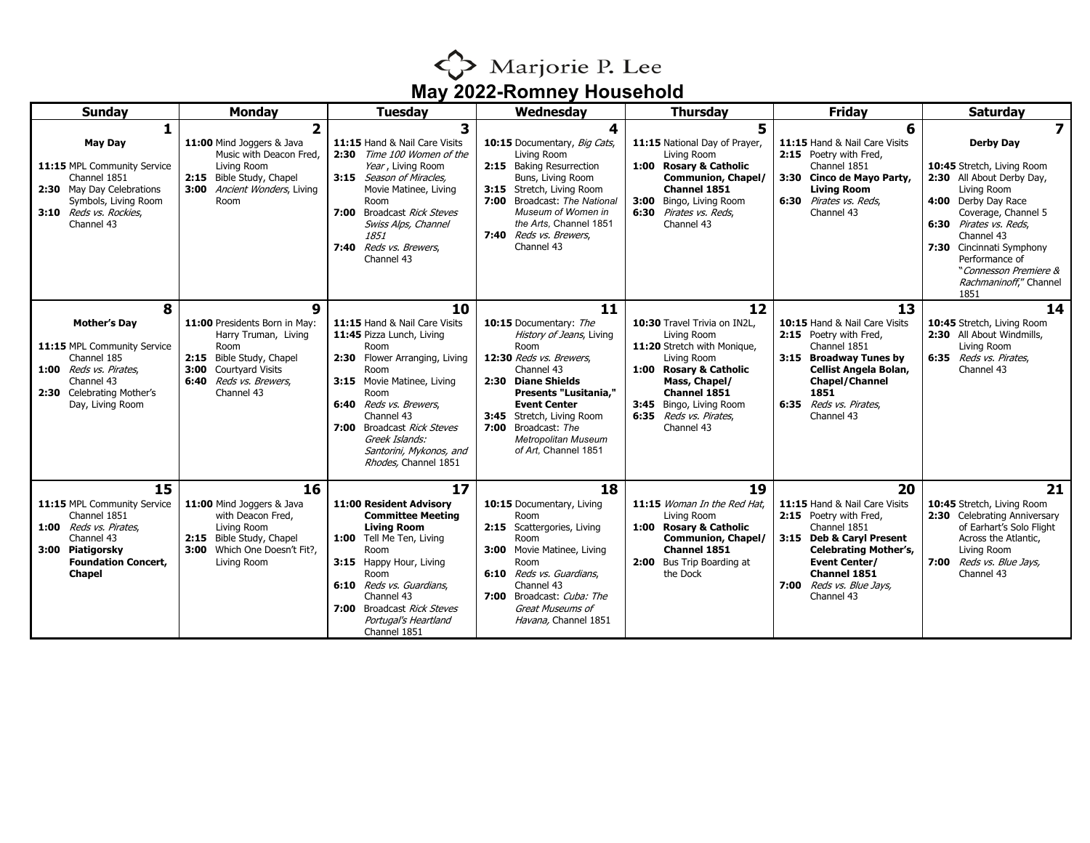

| <b>Sunday</b>                                                                                                                                                   | <b>Monday</b>                                                                                                                                                   | <b>Tuesday</b>                                                                                                                                                                                                                                                                                        | Wednesday                                                                                                                                                                                                                                                                                    | <b>Thursday</b>                                                                                                                                                                                                               | Friday                                                                                                                                                                                                                      | <b>Saturday</b>                                                                                                                                                                                                                                                                                                      |
|-----------------------------------------------------------------------------------------------------------------------------------------------------------------|-----------------------------------------------------------------------------------------------------------------------------------------------------------------|-------------------------------------------------------------------------------------------------------------------------------------------------------------------------------------------------------------------------------------------------------------------------------------------------------|----------------------------------------------------------------------------------------------------------------------------------------------------------------------------------------------------------------------------------------------------------------------------------------------|-------------------------------------------------------------------------------------------------------------------------------------------------------------------------------------------------------------------------------|-----------------------------------------------------------------------------------------------------------------------------------------------------------------------------------------------------------------------------|----------------------------------------------------------------------------------------------------------------------------------------------------------------------------------------------------------------------------------------------------------------------------------------------------------------------|
| <b>May Day</b><br>11:15 MPL Community Service<br>Channel 1851<br>2:30 May Day Celebrations<br>Symbols, Living Room<br>3:10 Reds vs. Rockies,<br>Channel 43      | $\overline{2}$<br>11:00 Mind Joggers & Java<br>Music with Deacon Fred,<br>Living Room<br>2:15 Bible Study, Chapel<br>3:00 Ancient Wonders, Living<br>Room       | 3<br>11:15 Hand & Nail Care Visits<br>2:30 Time 100 Women of the<br>Year, Living Room<br>3:15 Season of Miracles,<br>Movie Matinee, Living<br>Room<br>7:00 Broadcast Rick Steves<br>Swiss Alps, Channel<br>1851<br>7:40 Reds vs. Brewers.<br>Channel 43                                               | 10:15 Documentary, Big Cats,<br>Living Room<br>2:15 Baking Resurrection<br>Buns, Living Room<br>3:15 Stretch, Living Room<br>7:00 Broadcast: The National<br>Museum of Women in<br>the Arts. Channel 1851<br>7:40 Reds vs. Brewers,<br>Channel 43                                            | 5<br>11:15 National Day of Prayer,<br>Living Room<br>1:00 Rosary & Catholic<br><b>Communion, Chapel/</b><br>Channel 1851<br>Bingo, Living Room<br>3:00<br>6:30 Pirates vs. Reds.<br>Channel 43                                | 6<br>11:15 Hand & Nail Care Visits<br>2:15 Poetry with Fred,<br>Channel 1851<br>3:30 Cinco de Mayo Party,<br><b>Living Room</b><br>6:30 Pirates vs. Reds,<br>Channel 43                                                     | $\overline{\mathbf{z}}$<br><b>Derby Day</b><br>10:45 Stretch, Living Room<br>2:30 All About Derby Day,<br>Living Room<br>4:00 Derby Day Race<br>Coverage, Channel 5<br>6:30 Pirates vs. Reds,<br>Channel 43<br>7:30 Cincinnati Symphony<br>Performance of<br>"Connesson Premiere &<br>Rachmaninoff," Channel<br>1851 |
| 8<br><b>Mother's Day</b><br>11:15 MPL Community Service<br>Channel 185<br>1:00 Reds vs. Pirates.<br>Channel 43<br>2:30 Celebrating Mother's<br>Day, Living Room | 9<br>11:00 Presidents Born in May:<br>Harry Truman, Living<br>Room<br>2:15 Bible Study, Chapel<br>3:00 Courtyard Visits<br>6:40 Reds vs. Brewers.<br>Channel 43 | 10<br>11:15 Hand & Nail Care Visits<br>11:45 Pizza Lunch, Living<br>Room<br>Flower Arranging, Living<br>2:30<br>Room<br>3:15 Movie Matinee, Living<br>Room<br>6:40 Reds vs. Brewers.<br>Channel 43<br>7:00 Broadcast Rick Steves<br>Greek Islands:<br>Santorini, Mykonos, and<br>Rhodes, Channel 1851 | 11<br>10:15 Documentary: The<br>History of Jeans, Living<br>Room<br>12:30 Reds vs. Brewers,<br>Channel 43<br>2:30 Diane Shields<br>Presents "Lusitania,"<br><b>Event Center</b><br>3:45 Stretch, Living Room<br>7:00<br>Broadcast: The<br><b>Metropolitan Museum</b><br>of Art, Channel 1851 | 12<br>10:30 Travel Trivia on IN2L,<br>Living Room<br>11:20 Stretch with Monique,<br>Living Room<br>1:00 Rosary & Catholic<br>Mass, Chapel/<br>Channel 1851<br>3:45 Bingo, Living Room<br>6:35 Reds vs. Pirates,<br>Channel 43 | 13<br>10:15 Hand & Nail Care Visits<br>2:15 Poetry with Fred,<br>Channel 1851<br>3:15 Broadway Tunes by<br>Cellist Angela Bolan,<br><b>Chapel/Channel</b><br>1851<br>6:35 Reds vs. Pirates.<br>Channel 43                   | 14<br>10:45 Stretch, Living Room<br>2:30 All About Windmills,<br>Living Room<br>6:35 Reds vs. Pirates,<br>Channel 43                                                                                                                                                                                                 |
| 15<br>11:15 MPL Community Service<br>Channel 1851<br>1:00 Reds vs. Pirates.<br>Channel 43<br>3:00 Piatigorsky<br><b>Foundation Concert,</b><br><b>Chapel</b>    | 16<br>11:00 Mind Joggers & Java<br>with Deacon Fred,<br>Living Room<br>2:15 Bible Study, Chapel<br>3:00 Which One Doesn't Fit?,<br>Living Room                  | 17<br>11:00 Resident Advisory<br><b>Committee Meeting</b><br><b>Living Room</b><br>1:00 Tell Me Ten, Living<br>Room<br>3:15 Happy Hour, Living<br>Room<br>6:10 Reds vs. Guardians,<br>Channel 43<br>7:00 Broadcast Rick Steves<br>Portugal's Heartland<br>Channel 1851                                | 18<br>10:15 Documentary, Living<br>Room<br>2:15 Scattergories, Living<br>Room<br>Movie Matinee, Living<br>3:00<br>Room<br>6:10 Reds vs. Guardians,<br>Channel 43<br>7:00 Broadcast: Cuba: The<br>Great Museums of<br>Havana, Channel 1851                                                    | 19<br>11:15 Woman In the Red Hat.<br>Living Room<br>1:00 Rosary & Catholic<br><b>Communion, Chapel/</b><br>Channel 1851<br>2:00 Bus Trip Boarding at<br>the Dock                                                              | 20<br>11:15 Hand & Nail Care Visits<br>2:15 Poetry with Fred,<br>Channel 1851<br>3:15 Deb & Caryl Present<br><b>Celebrating Mother's,</b><br><b>Event Center/</b><br>Channel 1851<br>7:00 Reds vs. Blue Jays,<br>Channel 43 | 21<br>10:45 Stretch, Living Room<br>2:30 Celebrating Anniversary<br>of Earhart's Solo Flight<br>Across the Atlantic,<br>Living Room<br>7:00 Reds vs. Blue Jays,<br>Channel 43                                                                                                                                        |